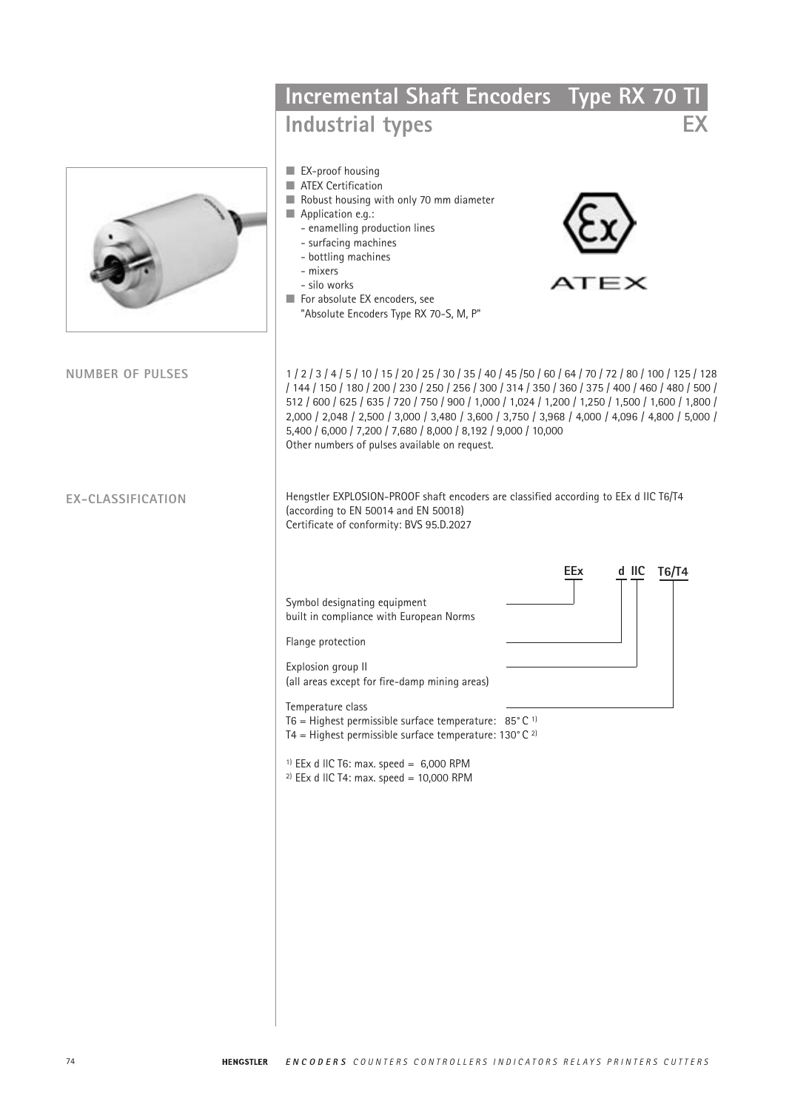|                          | Incremental Shaft Encoders Type RX 70 TI<br><b>Industrial types</b>                                                                                                                                                                                                                                                                                                                                                                                                                                                                       |                              |  |
|--------------------------|-------------------------------------------------------------------------------------------------------------------------------------------------------------------------------------------------------------------------------------------------------------------------------------------------------------------------------------------------------------------------------------------------------------------------------------------------------------------------------------------------------------------------------------------|------------------------------|--|
|                          | EX-proof housing<br>ATEX Certification<br>Robust housing with only 70 mm diameter<br>Application e.g.:<br>- enamelling production lines<br>- surfacing machines<br>- bottling machines<br>- mixers<br>- silo works<br>For absolute EX encoders, see<br>"Absolute Encoders Type RX 70-S, M, P"                                                                                                                                                                                                                                             | ATEX                         |  |
| <b>NUMBER OF PULSES</b>  | 1   2   3   4   5   10   15   20   25   30   35   40   45   50   60   64   70   72   80   100   125   128<br>/ 144 / 150 / 180 / 200 / 230 / 250 / 256 / 300 / 314 / 350 / 360 / 375 / 400 / 460 / 480 / 500 /<br>512 / 600 / 625 / 635 / 720 / 750 / 900 / 1,000 / 1,024 / 1,200 / 1,250 / 1,500 / 1,600 / 1,800 /<br>2,000 / 2,048 / 2,500 / 3,000 / 3,480 / 3,600 / 3,750 / 3,968 / 4,000 / 4,096 / 4,800 / 5,000 /<br>5,400 / 6,000 / 7,200 / 7,680 / 8,000 / 8,192 / 9,000 / 10,000<br>Other numbers of pulses available on request. |                              |  |
| <b>EX-CLASSIFICATION</b> | Hengstler EXPLOSION-PROOF shaft encoders are classified according to EEx d IIC T6/T4<br>(according to EN 50014 and EN 50018)<br>Certificate of conformity: BVS 95.D.2027                                                                                                                                                                                                                                                                                                                                                                  |                              |  |
|                          | Symbol designating equipment<br>built in compliance with European Norms<br>Flange protection<br>Explosion group II<br>(all areas except for fire-damp mining areas)<br>Temperature class<br>T6 = Highest permissible surface temperature: $85^{\circ}$ C <sup>1)</sup><br>T4 = Highest permissible surface temperature: $130^{\circ}$ C <sup>2)</sup><br><sup>1)</sup> EEx d IIC T6: max. speed = $6,000$ RPM<br><sup>2)</sup> EEx d IIC T4: max. speed = $10,000$ RPM                                                                    | d IIC<br>T6/T4<br><b>EEx</b> |  |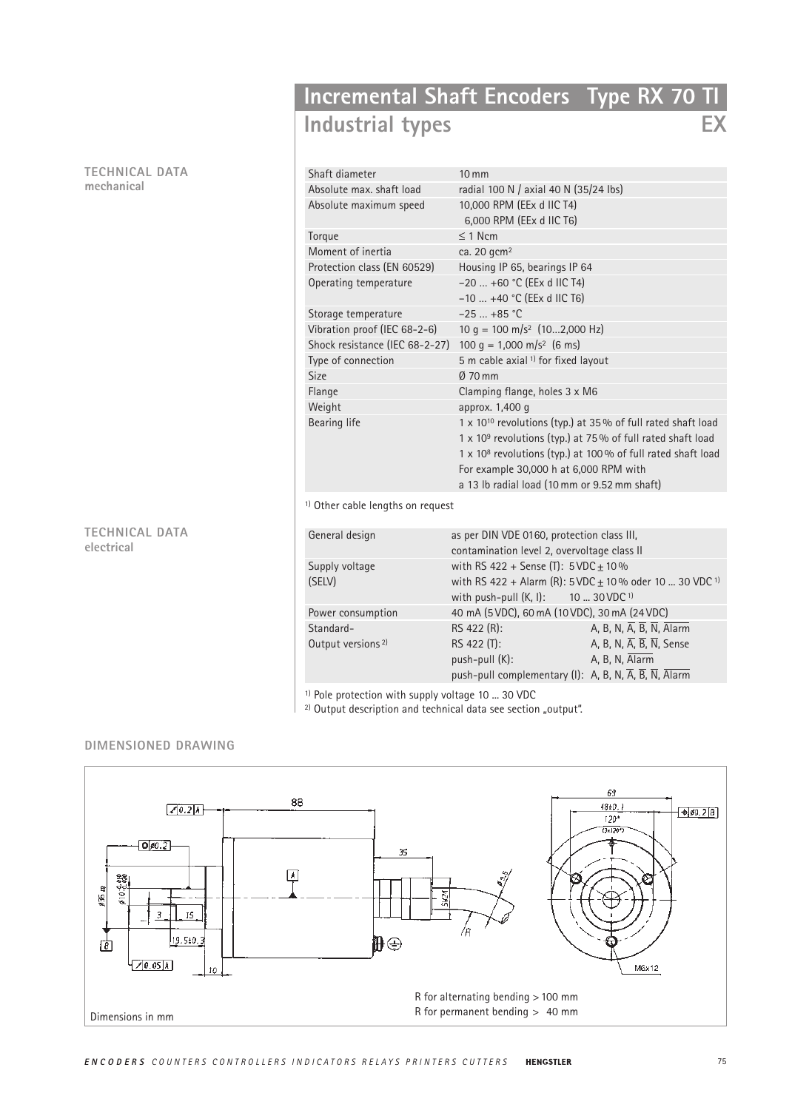**TECHNICAL DATA mechanical**

## **TECHNICAL DATA electrical**

# **Incremental Shaft Encoders Type RX 70 TI Industrial types EX**

| Shaft diameter                      | $10 \, \text{mm}$                                                        |
|-------------------------------------|--------------------------------------------------------------------------|
| Absolute max, shaft load            | radial 100 N / axial 40 N (35/24 lbs)                                    |
| Absolute maximum speed              | 10,000 RPM (EEx d IIC T4)                                                |
|                                     | 6,000 RPM (EEx d IIC T6)                                                 |
| Torque                              | $\leq$ 1 Ncm                                                             |
| Moment of inertia                   | ca. 20 gcm <sup>2</sup>                                                  |
| Protection class (EN 60529)         | Housing IP 65, bearings IP 64                                            |
| Operating temperature               | $-20$ +60 °C (EEx d IIC T4)                                              |
|                                     | $-10$ +40 °C (EEx d IIC T6)                                              |
| Storage temperature                 | $-25$ +85 °C                                                             |
| Vibration proof (IEC 68-2-6)        | 10 g = 100 m/s <sup>2</sup> $(102,000 \text{ Hz})$                       |
| Shock resistance (IEC 68-2-27)      | 100 g = 1,000 m/s <sup>2</sup> (6 ms)                                    |
| Type of connection                  | 5 m cable axial <sup>1)</sup> for fixed layout                           |
| Size                                | Ø 70 mm                                                                  |
| Flange                              | Clamping flange, holes 3 x M6                                            |
| Weight                              | approx. 1,400 q                                                          |
| Bearing life                        | 1 x 10 <sup>10</sup> revolutions (typ.) at 35% of full rated shaft load  |
|                                     | 1 x 10 <sup>9</sup> revolutions (typ.) at 75% of full rated shaft load   |
|                                     | 1 x 10 <sup>8</sup> revolutions (typ.) at 100 % of full rated shaft load |
|                                     | For example 30,000 h at 6,000 RPM with                                   |
|                                     | a 13 lb radial load (10 mm or 9.52 mm shaft)                             |
| $1)$ Othor cohlo longthe an roquest |                                                                          |

<sup>1)</sup> Other cable lengths on request

| General design                | as per DIN VDE 0160, protection class III,                                                     |                                                                   |  |
|-------------------------------|------------------------------------------------------------------------------------------------|-------------------------------------------------------------------|--|
|                               | contamination level 2, overvoltage class II                                                    |                                                                   |  |
| Supply voltage                | with RS 422 + Sense (T): $5VDC \pm 10\%$                                                       |                                                                   |  |
| (SELV)                        | with RS 422 + Alarm (R): 5VDC ± 10% oder 10  30 VDC <sup>1)</sup>                              |                                                                   |  |
|                               | with push-pull $(K, I)$ : 10  30 VDC <sup>1)</sup>                                             |                                                                   |  |
| Power consumption             | 40 mA (5 VDC), 60 mA (10 VDC), 30 mA (24 VDC)                                                  |                                                                   |  |
| Standard-                     | RS 422 (R):                                                                                    | A, B, N, $\overline{A}$ , $\overline{B}$ , $\overline{N}$ , Alarm |  |
| Output versions <sup>2)</sup> | RS 422 (T):                                                                                    | A, B, N, $\overline{A}$ , $\overline{B}$ , $\overline{N}$ , Sense |  |
|                               | push-pull (K):                                                                                 | A, B, N, Alarm                                                    |  |
|                               | push-pull complementary (I): A, B, N, $\overline{A}$ , $\overline{B}$ , $\overline{N}$ , Alarm |                                                                   |  |

<sup>1)</sup> Pole protection with supply voltage 10 ... 30 VDC

<sup>2)</sup> Output description and technical data see section "output".

## **DIMENSIONED DRAWING**

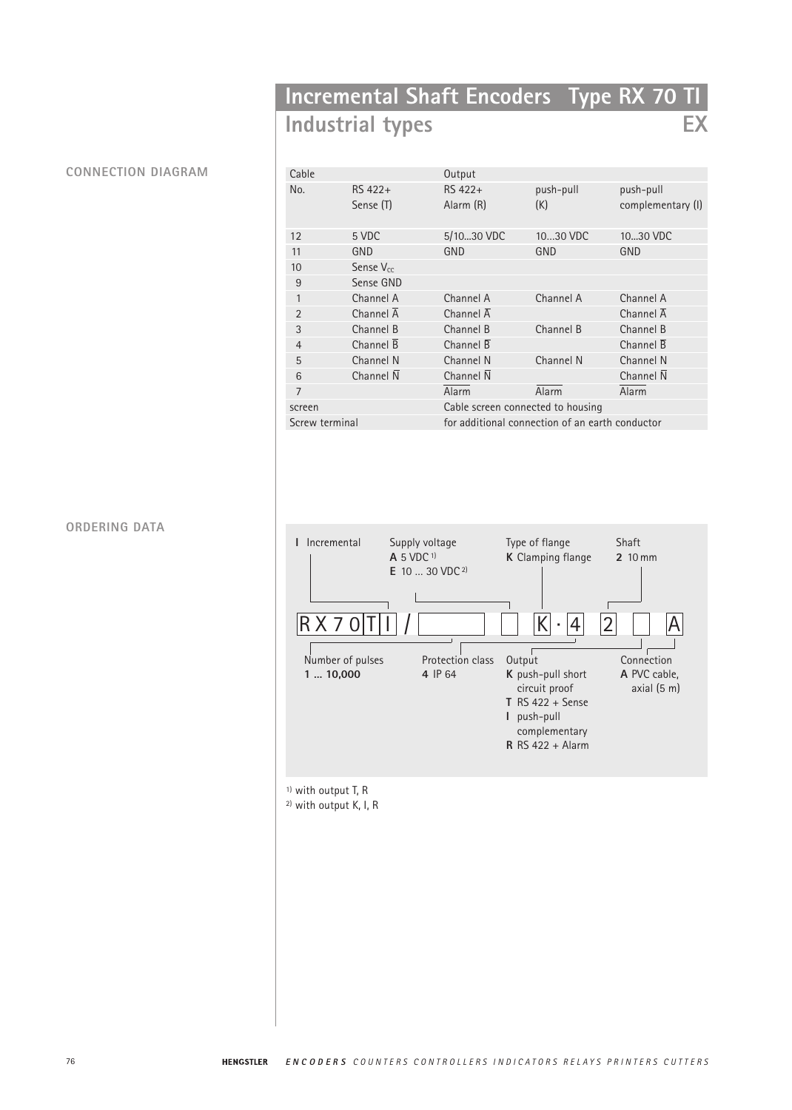# **Incremental Shaft Encoders Type RX 70 TI Industrial types EX**

## **CONNECTION DIAGRAM**

| Cable          |                        | Output                                          |                  |                                |
|----------------|------------------------|-------------------------------------------------|------------------|--------------------------------|
| No.            | RS 422+<br>Sense (T)   | RS 422+<br>Alarm (R)                            | push-pull<br>(K) | push-pull<br>complementary (I) |
| 12             | 5 VDC                  | 5/1030 VDC                                      | 1030 VDC         | 1030 VDC                       |
| 11             | GND                    | GND                                             | GND              | GND                            |
| 10             | Sense $V_{cc}$         |                                                 |                  |                                |
| 9              | Sense GND              |                                                 |                  |                                |
| 1              | Channel A              | Channel A                                       | Channel A        | Channel A                      |
| $\overline{2}$ | Channel $\overline{A}$ | Channel $\overline{A}$                          |                  | Channel $\overline{A}$         |
| 3              | Channel B              | Channel B                                       | Channel B        | Channel B                      |
| $\overline{4}$ | Channel $\overline{B}$ | Channel $\overline{B}$                          |                  | Channel $\overline{B}$         |
| 5              | Channel N              | Channel N                                       | Channel N        | Channel N                      |
| 6              | Channel N              | Channel $\overline{N}$                          |                  | Channel $\overline{N}$         |
| 7              |                        | Alarm                                           | Alarm            | Alarm                          |
| screen         |                        | Cable screen connected to housing               |                  |                                |
| Screw terminal |                        | for additional connection of an earth conductor |                  |                                |

## **ORDERING DATA**



2) with output K, I, R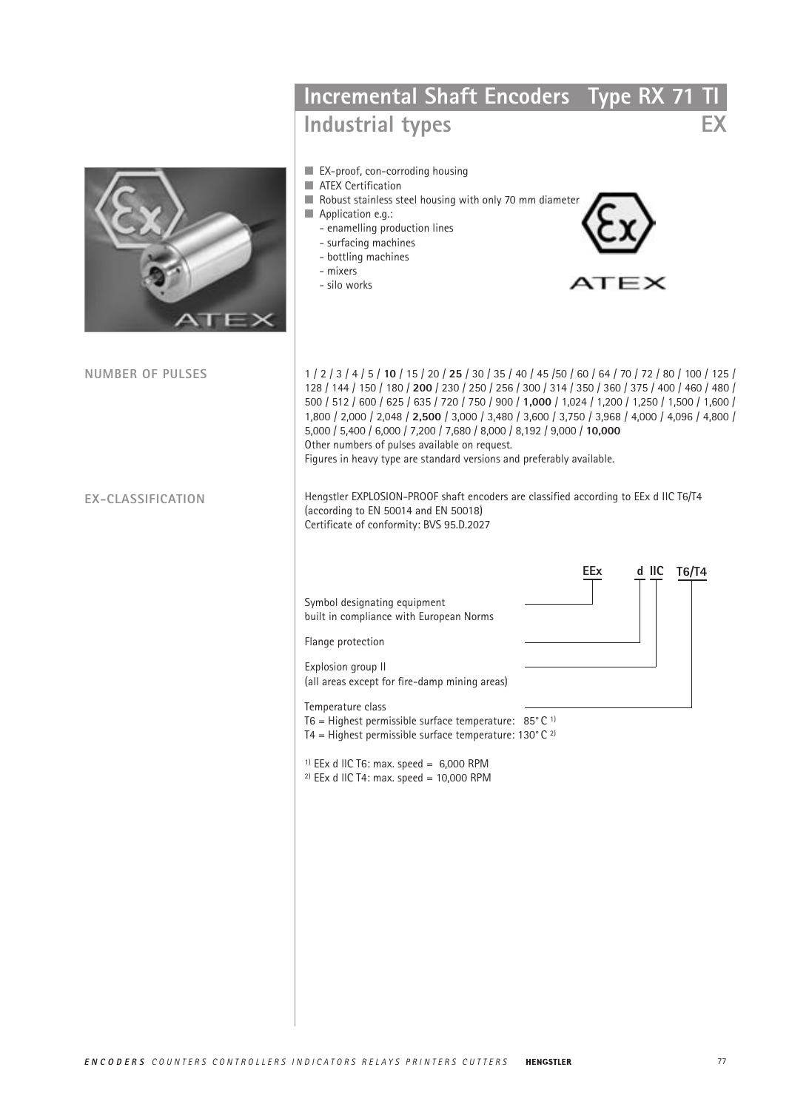|                         | Incremental Shaft Encoders Type RX 71 TI                                                                                                                                                                                                                                                                                                                                                                                                                                                                                                                                                                           |
|-------------------------|--------------------------------------------------------------------------------------------------------------------------------------------------------------------------------------------------------------------------------------------------------------------------------------------------------------------------------------------------------------------------------------------------------------------------------------------------------------------------------------------------------------------------------------------------------------------------------------------------------------------|
|                         | EX<br>Industrial types                                                                                                                                                                                                                                                                                                                                                                                                                                                                                                                                                                                             |
|                         | EX-proof, con-corroding housing<br>ATEX Certification<br>Robust stainless steel housing with only 70 mm diameter<br>Application e.g.:<br>- enamelling production lines<br>- surfacing machines<br>- bottling machines<br>- mixers<br>ATEX<br>- silo works                                                                                                                                                                                                                                                                                                                                                          |
| <b>NUMBER OF PULSES</b> | 1   2   3   4   5   10   15   20   25   30   35   40   45   50   60   64   70   72   80   100   125  <br>128 / 144 / 150 / 180 / 200 / 230 / 250 / 256 / 300 / 314 / 350 / 360 / 375 / 400 / 460 / 480 /<br>500 / 512 / 600 / 625 / 635 / 720 / 750 / 900 / 1,000 / 1,024 / 1,200 / 1,250 / 1,500 / 1,600 /<br>1,800 / 2,000 / 2,048 / 2,500 / 3,000 / 3,480 / 3,600 / 3,750 / 3,968 / 4,000 / 4,096 / 4,800 /<br>5,000 / 5,400 / 6,000 / 7,200 / 7,680 / 8,000 / 8,192 / 9,000 / 10,000<br>Other numbers of pulses available on request.<br>Figures in heavy type are standard versions and preferably available. |
| EX-CLASSIFICATION       | Hengstler EXPLOSION-PROOF shaft encoders are classified according to EEx d IIC T6/T4<br>(according to EN 50014 and EN 50018)<br>Certificate of conformity: BVS 95.D.2027                                                                                                                                                                                                                                                                                                                                                                                                                                           |
|                         | d IIC T6/T4<br>EEx                                                                                                                                                                                                                                                                                                                                                                                                                                                                                                                                                                                                 |
|                         | Symbol designating equipment<br>built in compliance with European Norms<br>Flange protection                                                                                                                                                                                                                                                                                                                                                                                                                                                                                                                       |
|                         | Explosion group II<br>(all areas except for fire-damp mining areas)                                                                                                                                                                                                                                                                                                                                                                                                                                                                                                                                                |
|                         | Temperature class<br>T6 = Highest permissible surface temperature: $85^{\circ}$ C <sup>1)</sup><br>T4 = Highest permissible surface temperature: $130^{\circ}$ C <sup>2)</sup>                                                                                                                                                                                                                                                                                                                                                                                                                                     |
|                         | <sup>1)</sup> EEx d IIC T6: max. speed = $6,000$ RPM<br><sup>2)</sup> EEx d IIC T4: max. speed = $10,000$ RPM                                                                                                                                                                                                                                                                                                                                                                                                                                                                                                      |
|                         |                                                                                                                                                                                                                                                                                                                                                                                                                                                                                                                                                                                                                    |
|                         |                                                                                                                                                                                                                                                                                                                                                                                                                                                                                                                                                                                                                    |
|                         |                                                                                                                                                                                                                                                                                                                                                                                                                                                                                                                                                                                                                    |
|                         |                                                                                                                                                                                                                                                                                                                                                                                                                                                                                                                                                                                                                    |
|                         |                                                                                                                                                                                                                                                                                                                                                                                                                                                                                                                                                                                                                    |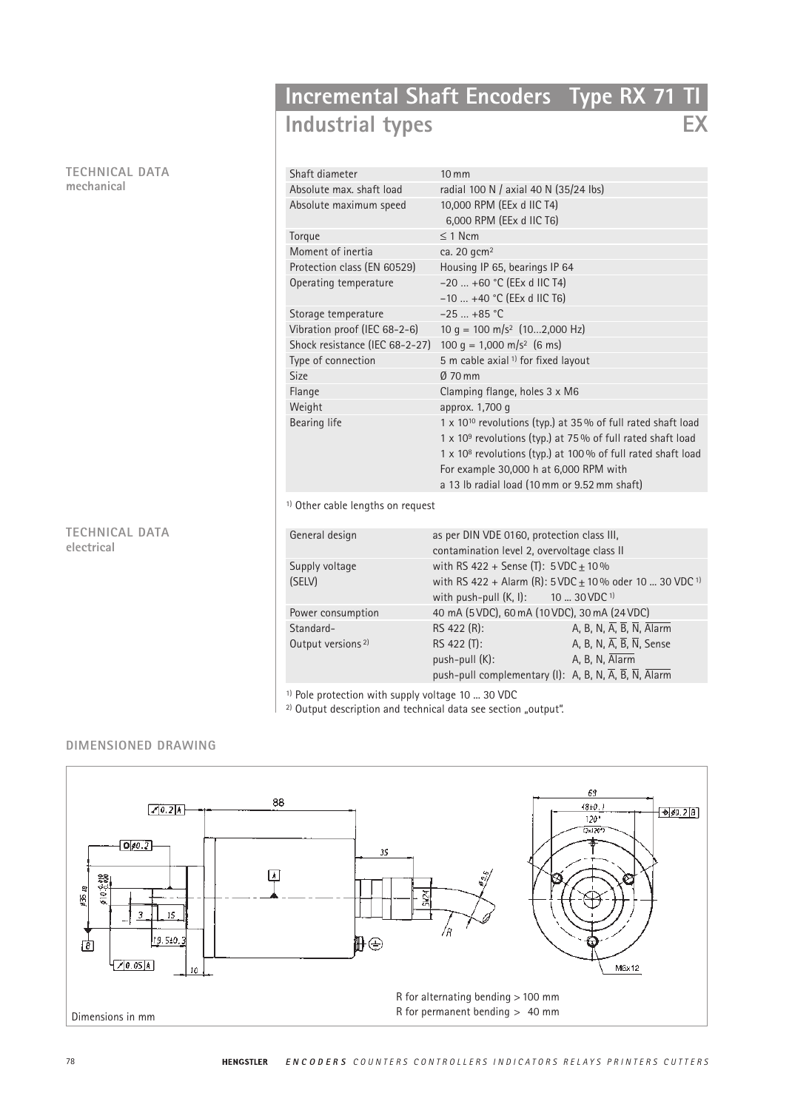#### **TECHNICAL DATA mechanical**

## **Incremental Shaft Encoders Type RX 71 TI Industrial types EX**

| Shaft diameter                               | $10 \, \text{mm}$                                                       |
|----------------------------------------------|-------------------------------------------------------------------------|
| Absolute max, shaft load                     | radial 100 N / axial 40 N (35/24 lbs)                                   |
| Absolute maximum speed                       | 10,000 RPM (EEx d IIC T4)                                               |
|                                              | 6,000 RPM (EEx d IIC T6)                                                |
| Torque                                       | $\leq$ 1 Ncm                                                            |
| Moment of inertia                            | ca. 20 gcm <sup>2</sup>                                                 |
| Protection class (EN 60529)                  | Housing IP 65, bearings IP 64                                           |
| Operating temperature                        | $-20$ +60 °C (EEx d IIC T4)                                             |
|                                              | $-10$ +40 °C (EEx d IIC T6)                                             |
| Storage temperature                          | $-25$ +85 °C                                                            |
| Vibration proof (IEC 68-2-6)                 | 10 g = 100 m/s <sup>2</sup> $(102,000 \text{ Hz})$                      |
| Shock resistance (IEC 68-2-27)               | 100 g = 1,000 m/s <sup>2</sup> (6 ms)                                   |
| Type of connection                           | 5 m cable axial <sup>1)</sup> for fixed layout                          |
| <b>Size</b>                                  | $\varnothing$ 70 mm                                                     |
| Flange                                       | Clamping flange, holes 3 x M6                                           |
| Weight                                       | approx. 1,700 q                                                         |
| Bearing life                                 | 1 x 10 <sup>10</sup> revolutions (typ.) at 35% of full rated shaft load |
|                                              | 1 x 10 <sup>9</sup> revolutions (typ.) at 75% of full rated shaft load  |
|                                              | $1 \times 10^8$ revolutions (typ.) at 100 % of full rated shaft load    |
|                                              | For example 30,000 h at 6,000 RPM with                                  |
|                                              | a 13 lb radial load (10 mm or 9.52 mm shaft)                            |
| <sup>1)</sup> Other cable lengths on request |                                                                         |

<sup>1)</sup> Other cable lengths on request

| General design                | as per DIN VDE 0160, protection class III,<br>contamination level 2, overvoltage class II |                                                                   |  |
|-------------------------------|-------------------------------------------------------------------------------------------|-------------------------------------------------------------------|--|
| Supply voltage                | with RS 422 + Sense (T): $5VDC \pm 10\%$                                                  |                                                                   |  |
| (SELV)                        | with RS 422 + Alarm (R): $5 \text{VDC} \pm 10\%$ oder 10  30 VDC <sup>1)</sup>            |                                                                   |  |
|                               | with push-pull $(K, I)$ : 10  30 VDC <sup>1)</sup>                                        |                                                                   |  |
| Power consumption             | 40 mA (5 VDC), 60 mA (10 VDC), 30 mA (24 VDC)                                             |                                                                   |  |
| Standard-                     | RS 422 (R):                                                                               | A, B, N, $\overline{A}$ , $\overline{B}$ , $\overline{N}$ , Alarm |  |
| Output versions <sup>2)</sup> | RS 422 (T):                                                                               | A, B, N, $\overline{A}$ , $\overline{B}$ , $\overline{N}$ , Sense |  |
|                               | push-pull (K):                                                                            | A, B, N, Alarm                                                    |  |
|                               | push-pull complementary (I): A, B, N, A, B, N, Alarm                                      |                                                                   |  |

<sup>1)</sup> Pole protection with supply voltage 10 ... 30 VDC

<sup>2)</sup> Output description and technical data see section "output".

## **DIMENSIONED DRAWING**

**TECHNICAL DATA**

**electrical**